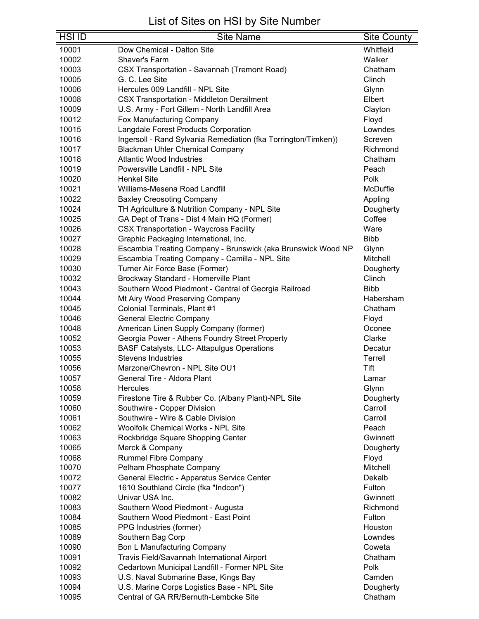| <b>HSI ID</b> | <b>Site Name</b>                                               | <b>Site County</b> |
|---------------|----------------------------------------------------------------|--------------------|
| 10001         | Dow Chemical - Dalton Site                                     | Whitfield          |
| 10002         | Shaver's Farm                                                  | Walker             |
| 10003         | <b>CSX Transportation - Savannah (Tremont Road)</b>            | Chatham            |
| 10005         | G. C. Lee Site                                                 | Clinch             |
| 10006         | Hercules 009 Landfill - NPL Site                               | Glynn              |
| 10008         | <b>CSX Transportation - Middleton Derailment</b>               | Elbert             |
| 10009         | U.S. Army - Fort Gillem - North Landfill Area                  | Clayton            |
| 10012         | Fox Manufacturing Company                                      | Floyd              |
| 10015         | Langdale Forest Products Corporation                           | Lowndes            |
| 10016         | Ingersoll - Rand Sylvania Remediation (fka Torrington/Timken)) | Screven            |
| 10017         | <b>Blackman Uhler Chemical Company</b>                         | Richmond           |
| 10018         | <b>Atlantic Wood Industries</b>                                | Chatham            |
| 10019         | Powersville Landfill - NPL Site                                | Peach              |
| 10020         | <b>Henkel Site</b>                                             | Polk               |
| 10021         | Williams-Mesena Road Landfill                                  | McDuffie           |
| 10022         | <b>Baxley Creosoting Company</b>                               | Appling            |
| 10024         | TH Agriculture & Nutrition Company - NPL Site                  | Dougherty          |
| 10025         | GA Dept of Trans - Dist 4 Main HQ (Former)                     | Coffee             |
| 10026         | <b>CSX Transportation - Waycross Facility</b>                  | Ware               |
| 10027         | Graphic Packaging International, Inc.                          | <b>Bibb</b>        |
| 10028         | Escambia Treating Company - Brunswick (aka Brunswick Wood NP   | Glynn              |
| 10029         | Escambia Treating Company - Camilla - NPL Site                 | Mitchell           |
| 10030         | Turner Air Force Base (Former)                                 | Dougherty          |
| 10032         | Brockway Standard - Homerville Plant                           | Clinch             |
| 10043         | Southern Wood Piedmont - Central of Georgia Railroad           | <b>Bibb</b>        |
| 10044         | Mt Airy Wood Preserving Company                                | Habersham          |
| 10045         | Colonial Terminals, Plant #1                                   | Chatham            |
| 10046         | <b>General Electric Company</b>                                | Floyd              |
| 10048         | American Linen Supply Company (former)                         | Oconee             |
| 10052         | Georgia Power - Athens Foundry Street Property                 | Clarke             |
| 10053         | <b>BASF Catalysts, LLC- Attapulgus Operations</b>              | Decatur            |
| 10055         | <b>Stevens Industries</b>                                      | Terrell            |
| 10056         | Marzone/Chevron - NPL Site OU1                                 | Tift               |
| 10057         | General Tire - Aldora Plant                                    | Lamar              |
| 10058         | Hercules                                                       | Glynn              |
| 10059         | Firestone Tire & Rubber Co. (Albany Plant)-NPL Site            | Dougherty          |
| 10060         | Southwire - Copper Division                                    | Carroll            |
| 10061         | Southwire - Wire & Cable Division                              | Carroll            |
| 10062         | <b>Woolfolk Chemical Works - NPL Site</b>                      | Peach              |
| 10063         | Rockbridge Square Shopping Center                              | Gwinnett           |
| 10065         | Merck & Company                                                | Dougherty          |
| 10068         | <b>Rummel Fibre Company</b>                                    | Floyd              |
| 10070         | Pelham Phosphate Company                                       | Mitchell           |
| 10072         | General Electric - Apparatus Service Center                    | Dekalb             |
| 10077         | 1610 Southland Circle (fka "Indcon")                           | Fulton             |
| 10082         | Univar USA Inc.                                                | Gwinnett           |
| 10083         | Southern Wood Piedmont - Augusta                               | Richmond           |
| 10084         | Southern Wood Piedmont - East Point                            | Fulton             |
| 10085         | PPG Industries (former)                                        | Houston            |
| 10089         | Southern Bag Corp                                              | Lowndes            |
| 10090         | <b>Bon L Manufacturing Company</b>                             | Coweta             |
| 10091         | Travis Field/Savannah International Airport                    | Chatham            |
| 10092         | Cedartown Municipal Landfill - Former NPL Site                 | Polk               |
| 10093         | U.S. Naval Submarine Base, Kings Bay                           | Camden             |
| 10094         | U.S. Marine Corps Logistics Base - NPL Site                    | Dougherty          |
| 10095         | Central of GA RR/Bernuth-Lembcke Site                          | Chatham            |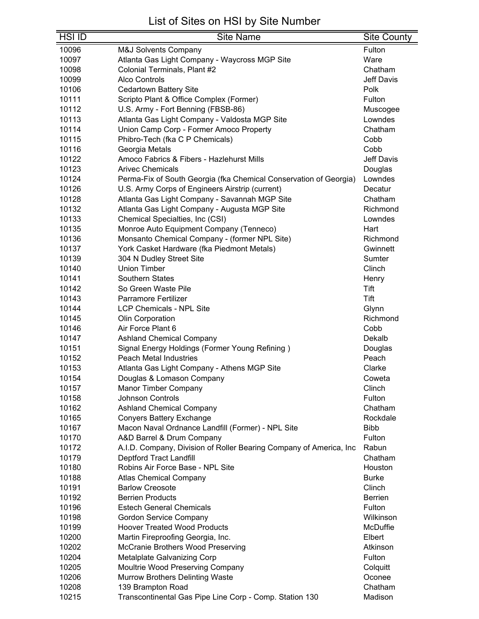| <b>HSI ID</b> | <b>Site Name</b>                                                   | <b>Site County</b> |
|---------------|--------------------------------------------------------------------|--------------------|
| 10096         | <b>M&amp;J Solvents Company</b>                                    | Fulton             |
| 10097         | Atlanta Gas Light Company - Waycross MGP Site                      | Ware               |
| 10098         | Colonial Terminals, Plant #2                                       | Chatham            |
| 10099         | <b>Alco Controls</b>                                               | <b>Jeff Davis</b>  |
| 10106         | <b>Cedartown Battery Site</b>                                      | Polk               |
| 10111         | Scripto Plant & Office Complex (Former)                            | Fulton             |
| 10112         | U.S. Army - Fort Benning (FBSB-86)                                 | Muscogee           |
| 10113         | Atlanta Gas Light Company - Valdosta MGP Site                      | Lowndes            |
| 10114         | Union Camp Corp - Former Amoco Property                            | Chatham            |
| 10115         | Phibro-Tech (fka C P Chemicals)                                    | Cobb               |
| 10116         | Georgia Metals                                                     | Cobb               |
| 10122         | Amoco Fabrics & Fibers - Hazlehurst Mills                          | <b>Jeff Davis</b>  |
| 10123         | <b>Arivec Chemicals</b>                                            | Douglas            |
| 10124         | Perma-Fix of South Georgia (fka Chemical Conservation of Georgia)  | Lowndes            |
| 10126         | U.S. Army Corps of Engineers Airstrip (current)                    | Decatur            |
| 10128         | Atlanta Gas Light Company - Savannah MGP Site                      | Chatham            |
| 10132         | Atlanta Gas Light Company - Augusta MGP Site                       | Richmond           |
| 10133         | Chemical Specialties, Inc (CSI)                                    | Lowndes            |
| 10135         | Monroe Auto Equipment Company (Tenneco)                            | Hart               |
| 10136         | Monsanto Chemical Company - (former NPL Site)                      | Richmond           |
| 10137         | York Casket Hardware (fka Piedmont Metals)                         | Gwinnett           |
| 10139         | 304 N Dudley Street Site                                           | Sumter             |
| 10140         | <b>Union Timber</b>                                                | Clinch             |
| 10141         | <b>Southern States</b>                                             | Henry              |
| 10142         | So Green Waste Pile                                                | Tift               |
| 10143         | <b>Parramore Fertilizer</b>                                        | Tift               |
| 10144         | <b>LCP Chemicals - NPL Site</b>                                    | Glynn              |
| 10145         | Olin Corporation                                                   | Richmond           |
| 10146         | Air Force Plant 6                                                  | Cobb               |
| 10147         | <b>Ashland Chemical Company</b>                                    | Dekalb             |
| 10151         | Signal Energy Holdings (Former Young Refining)                     | Douglas            |
| 10152         | <b>Peach Metal Industries</b>                                      | Peach              |
| 10153         | Atlanta Gas Light Company - Athens MGP Site                        | Clarke             |
| 10154         | Douglas & Lomason Company                                          | Coweta             |
| 10157         | Manor Timber Company                                               | Clinch             |
| 10158         | <b>Johnson Controls</b>                                            | Fulton             |
| 10162         | <b>Ashland Chemical Company</b>                                    | Chatham            |
| 10165         | <b>Conyers Battery Exchange</b>                                    | Rockdale           |
| 10167         | Macon Naval Ordnance Landfill (Former) - NPL Site                  | <b>Bibb</b>        |
| 10170         | A&D Barrel & Drum Company                                          | Fulton             |
| 10172         | A.I.D. Company, Division of Roller Bearing Company of America, Inc | Rabun              |
| 10179         | Deptford Tract Landfill                                            | Chatham            |
| 10180         | Robins Air Force Base - NPL Site                                   | Houston            |
| 10188         | <b>Atlas Chemical Company</b>                                      | <b>Burke</b>       |
| 10191         | <b>Barlow Creosote</b>                                             | Clinch             |
| 10192         | <b>Berrien Products</b>                                            | <b>Berrien</b>     |
| 10196         | <b>Estech General Chemicals</b>                                    | Fulton             |
| 10198         | <b>Gordon Service Company</b>                                      | Wilkinson          |
| 10199         | <b>Hoover Treated Wood Products</b>                                | McDuffie           |
| 10200         | Martin Fireproofing Georgia, Inc.                                  | Elbert             |
| 10202         | McCranie Brothers Wood Preserving                                  | Atkinson           |
| 10204         | Metalplate Galvanizing Corp                                        | Fulton             |
| 10205         | Moultrie Wood Preserving Company                                   | Colquitt           |
| 10206         | Murrow Brothers Delinting Waste                                    | Oconee             |
| 10208         | 139 Brampton Road                                                  | Chatham            |
| 10215         | Transcontinental Gas Pipe Line Corp - Comp. Station 130            | Madison            |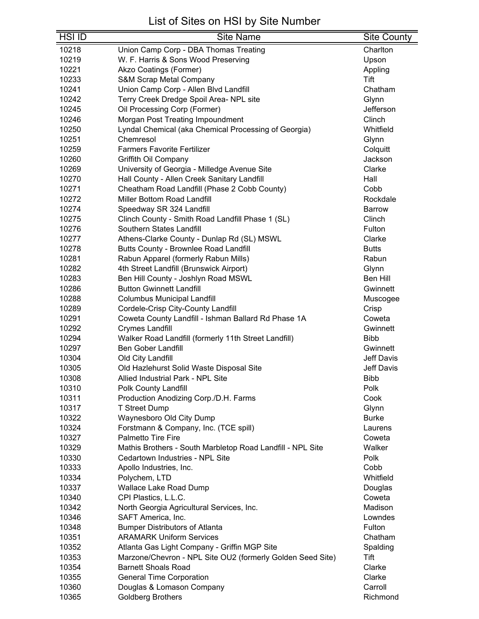| 10218<br>Union Camp Corp - DBA Thomas Treating<br>Charlton<br>10219<br>W. F. Harris & Sons Wood Preserving<br>Upson<br>10221<br>Akzo Coatings (Former)<br>Appling<br><b>S&amp;M Scrap Metal Company</b><br>Tift<br>10233<br>10241<br>Union Camp Corp - Allen Blvd Landfill<br>Chatham<br>Terry Creek Dredge Spoil Area- NPL site<br>10242<br>Glynn<br>Oil Processing Corp (Former)<br>Jefferson<br>10245<br>Morgan Post Treating Impoundment<br>Clinch<br>10246<br>Lyndal Chemical (aka Chemical Processing of Georgia)<br>10250<br>Whitfield<br>10251<br>Chemresol<br>Glynn<br><b>Farmers Favorite Fertilizer</b><br>10259<br>Colquitt<br>10260<br>Griffith Oil Company<br>Jackson<br>Clarke<br>10269<br>University of Georgia - Milledge Avenue Site<br>Hall County - Allen Creek Sanitary Landfill<br>10270<br>Hall<br>Cheatham Road Landfill (Phase 2 Cobb County)<br>10271<br>Cobb<br>10272<br><b>Miller Bottom Road Landfill</b><br>Rockdale<br>10274<br>Speedway SR 324 Landfill<br><b>Barrow</b><br>10275<br>Clinch<br>Clinch County - Smith Road Landfill Phase 1 (SL)<br>Southern States Landfill<br>10276<br>Fulton<br>Athens-Clarke County - Dunlap Rd (SL) MSWL<br>10277<br>Clarke<br>10278<br>Butts County - Brownlee Road Landfill<br><b>Butts</b><br>Rabun<br>10281<br>Rabun Apparel (formerly Rabun Mills)<br>4th Street Landfill (Brunswick Airport)<br>10282<br>Glynn<br>Ben Hill<br>10283<br>Ben Hill County - Joshlyn Road MSWL<br>10286<br><b>Button Gwinnett Landfill</b><br>Gwinnett<br>10288<br>Columbus Municipal Landfill<br>Muscogee<br>Cordele-Crisp City-County Landfill<br>10289<br>Crisp<br>10291<br>Coweta County Landfill - Ishman Ballard Rd Phase 1A<br>Coweta<br>10292<br><b>Crymes Landfill</b><br>Gwinnett<br>10294<br>Walker Road Landfill (formerly 11th Street Landfill)<br><b>Bibb</b><br>10297<br><b>Ben Gober Landfill</b><br>Gwinnett<br>10304<br>Jeff Davis<br>Old City Landfill<br>Old Hazlehurst Solid Waste Disposal Site<br><b>Jeff Davis</b><br>10305<br>10308<br><b>Bibb</b><br>Allied Industrial Park - NPL Site<br>10310<br>Polk County Landfill<br>Polk<br>Cook<br>10311<br>Production Anodizing Corp./D.H. Farms<br>10317<br>Glynn<br><b>T Street Dump</b><br>Waynesboro Old City Dump<br>10322<br><b>Burke</b><br>10324<br>Forstmann & Company, Inc. (TCE spill)<br>Laurens<br>10327<br><b>Palmetto Tire Fire</b><br>Coweta<br>10329<br>Mathis Brothers - South Marbletop Road Landfill - NPL Site<br>Walker<br>10330<br>Cedartown Industries - NPL Site<br>Polk<br>10333<br>Apollo Industries, Inc.<br>Cobb<br>10334<br>Polychem, LTD<br>Whitfield<br>10337<br><b>Wallace Lake Road Dump</b><br>Douglas<br>10340<br>CPI Plastics, L.L.C.<br>Coweta<br>Madison<br>10342<br>North Georgia Agricultural Services, Inc.<br>10346<br>SAFT America, Inc.<br>Lowndes<br>10348<br><b>Bumper Distributors of Atlanta</b><br>Fulton<br><b>ARAMARK Uniform Services</b><br>10351<br>Chatham<br>Atlanta Gas Light Company - Griffin MGP Site<br>10352<br>Spalding | <b>HSI ID</b> | <b>Site Name</b> | <b>Site County</b> |
|------------------------------------------------------------------------------------------------------------------------------------------------------------------------------------------------------------------------------------------------------------------------------------------------------------------------------------------------------------------------------------------------------------------------------------------------------------------------------------------------------------------------------------------------------------------------------------------------------------------------------------------------------------------------------------------------------------------------------------------------------------------------------------------------------------------------------------------------------------------------------------------------------------------------------------------------------------------------------------------------------------------------------------------------------------------------------------------------------------------------------------------------------------------------------------------------------------------------------------------------------------------------------------------------------------------------------------------------------------------------------------------------------------------------------------------------------------------------------------------------------------------------------------------------------------------------------------------------------------------------------------------------------------------------------------------------------------------------------------------------------------------------------------------------------------------------------------------------------------------------------------------------------------------------------------------------------------------------------------------------------------------------------------------------------------------------------------------------------------------------------------------------------------------------------------------------------------------------------------------------------------------------------------------------------------------------------------------------------------------------------------------------------------------------------------------------------------------------------------------------------------------------------------------------------------------------------------------------------------------------------------------------------------------------------------------------------------------------------------------------------------------------------------------------------------------------------------------------------------------------------------------------------------------------------------------------------------------------------------------------------------------|---------------|------------------|--------------------|
|                                                                                                                                                                                                                                                                                                                                                                                                                                                                                                                                                                                                                                                                                                                                                                                                                                                                                                                                                                                                                                                                                                                                                                                                                                                                                                                                                                                                                                                                                                                                                                                                                                                                                                                                                                                                                                                                                                                                                                                                                                                                                                                                                                                                                                                                                                                                                                                                                                                                                                                                                                                                                                                                                                                                                                                                                                                                                                                                                                                                                  |               |                  |                    |
|                                                                                                                                                                                                                                                                                                                                                                                                                                                                                                                                                                                                                                                                                                                                                                                                                                                                                                                                                                                                                                                                                                                                                                                                                                                                                                                                                                                                                                                                                                                                                                                                                                                                                                                                                                                                                                                                                                                                                                                                                                                                                                                                                                                                                                                                                                                                                                                                                                                                                                                                                                                                                                                                                                                                                                                                                                                                                                                                                                                                                  |               |                  |                    |
|                                                                                                                                                                                                                                                                                                                                                                                                                                                                                                                                                                                                                                                                                                                                                                                                                                                                                                                                                                                                                                                                                                                                                                                                                                                                                                                                                                                                                                                                                                                                                                                                                                                                                                                                                                                                                                                                                                                                                                                                                                                                                                                                                                                                                                                                                                                                                                                                                                                                                                                                                                                                                                                                                                                                                                                                                                                                                                                                                                                                                  |               |                  |                    |
|                                                                                                                                                                                                                                                                                                                                                                                                                                                                                                                                                                                                                                                                                                                                                                                                                                                                                                                                                                                                                                                                                                                                                                                                                                                                                                                                                                                                                                                                                                                                                                                                                                                                                                                                                                                                                                                                                                                                                                                                                                                                                                                                                                                                                                                                                                                                                                                                                                                                                                                                                                                                                                                                                                                                                                                                                                                                                                                                                                                                                  |               |                  |                    |
|                                                                                                                                                                                                                                                                                                                                                                                                                                                                                                                                                                                                                                                                                                                                                                                                                                                                                                                                                                                                                                                                                                                                                                                                                                                                                                                                                                                                                                                                                                                                                                                                                                                                                                                                                                                                                                                                                                                                                                                                                                                                                                                                                                                                                                                                                                                                                                                                                                                                                                                                                                                                                                                                                                                                                                                                                                                                                                                                                                                                                  |               |                  |                    |
|                                                                                                                                                                                                                                                                                                                                                                                                                                                                                                                                                                                                                                                                                                                                                                                                                                                                                                                                                                                                                                                                                                                                                                                                                                                                                                                                                                                                                                                                                                                                                                                                                                                                                                                                                                                                                                                                                                                                                                                                                                                                                                                                                                                                                                                                                                                                                                                                                                                                                                                                                                                                                                                                                                                                                                                                                                                                                                                                                                                                                  |               |                  |                    |
|                                                                                                                                                                                                                                                                                                                                                                                                                                                                                                                                                                                                                                                                                                                                                                                                                                                                                                                                                                                                                                                                                                                                                                                                                                                                                                                                                                                                                                                                                                                                                                                                                                                                                                                                                                                                                                                                                                                                                                                                                                                                                                                                                                                                                                                                                                                                                                                                                                                                                                                                                                                                                                                                                                                                                                                                                                                                                                                                                                                                                  |               |                  |                    |
|                                                                                                                                                                                                                                                                                                                                                                                                                                                                                                                                                                                                                                                                                                                                                                                                                                                                                                                                                                                                                                                                                                                                                                                                                                                                                                                                                                                                                                                                                                                                                                                                                                                                                                                                                                                                                                                                                                                                                                                                                                                                                                                                                                                                                                                                                                                                                                                                                                                                                                                                                                                                                                                                                                                                                                                                                                                                                                                                                                                                                  |               |                  |                    |
|                                                                                                                                                                                                                                                                                                                                                                                                                                                                                                                                                                                                                                                                                                                                                                                                                                                                                                                                                                                                                                                                                                                                                                                                                                                                                                                                                                                                                                                                                                                                                                                                                                                                                                                                                                                                                                                                                                                                                                                                                                                                                                                                                                                                                                                                                                                                                                                                                                                                                                                                                                                                                                                                                                                                                                                                                                                                                                                                                                                                                  |               |                  |                    |
|                                                                                                                                                                                                                                                                                                                                                                                                                                                                                                                                                                                                                                                                                                                                                                                                                                                                                                                                                                                                                                                                                                                                                                                                                                                                                                                                                                                                                                                                                                                                                                                                                                                                                                                                                                                                                                                                                                                                                                                                                                                                                                                                                                                                                                                                                                                                                                                                                                                                                                                                                                                                                                                                                                                                                                                                                                                                                                                                                                                                                  |               |                  |                    |
|                                                                                                                                                                                                                                                                                                                                                                                                                                                                                                                                                                                                                                                                                                                                                                                                                                                                                                                                                                                                                                                                                                                                                                                                                                                                                                                                                                                                                                                                                                                                                                                                                                                                                                                                                                                                                                                                                                                                                                                                                                                                                                                                                                                                                                                                                                                                                                                                                                                                                                                                                                                                                                                                                                                                                                                                                                                                                                                                                                                                                  |               |                  |                    |
|                                                                                                                                                                                                                                                                                                                                                                                                                                                                                                                                                                                                                                                                                                                                                                                                                                                                                                                                                                                                                                                                                                                                                                                                                                                                                                                                                                                                                                                                                                                                                                                                                                                                                                                                                                                                                                                                                                                                                                                                                                                                                                                                                                                                                                                                                                                                                                                                                                                                                                                                                                                                                                                                                                                                                                                                                                                                                                                                                                                                                  |               |                  |                    |
|                                                                                                                                                                                                                                                                                                                                                                                                                                                                                                                                                                                                                                                                                                                                                                                                                                                                                                                                                                                                                                                                                                                                                                                                                                                                                                                                                                                                                                                                                                                                                                                                                                                                                                                                                                                                                                                                                                                                                                                                                                                                                                                                                                                                                                                                                                                                                                                                                                                                                                                                                                                                                                                                                                                                                                                                                                                                                                                                                                                                                  |               |                  |                    |
|                                                                                                                                                                                                                                                                                                                                                                                                                                                                                                                                                                                                                                                                                                                                                                                                                                                                                                                                                                                                                                                                                                                                                                                                                                                                                                                                                                                                                                                                                                                                                                                                                                                                                                                                                                                                                                                                                                                                                                                                                                                                                                                                                                                                                                                                                                                                                                                                                                                                                                                                                                                                                                                                                                                                                                                                                                                                                                                                                                                                                  |               |                  |                    |
|                                                                                                                                                                                                                                                                                                                                                                                                                                                                                                                                                                                                                                                                                                                                                                                                                                                                                                                                                                                                                                                                                                                                                                                                                                                                                                                                                                                                                                                                                                                                                                                                                                                                                                                                                                                                                                                                                                                                                                                                                                                                                                                                                                                                                                                                                                                                                                                                                                                                                                                                                                                                                                                                                                                                                                                                                                                                                                                                                                                                                  |               |                  |                    |
|                                                                                                                                                                                                                                                                                                                                                                                                                                                                                                                                                                                                                                                                                                                                                                                                                                                                                                                                                                                                                                                                                                                                                                                                                                                                                                                                                                                                                                                                                                                                                                                                                                                                                                                                                                                                                                                                                                                                                                                                                                                                                                                                                                                                                                                                                                                                                                                                                                                                                                                                                                                                                                                                                                                                                                                                                                                                                                                                                                                                                  |               |                  |                    |
|                                                                                                                                                                                                                                                                                                                                                                                                                                                                                                                                                                                                                                                                                                                                                                                                                                                                                                                                                                                                                                                                                                                                                                                                                                                                                                                                                                                                                                                                                                                                                                                                                                                                                                                                                                                                                                                                                                                                                                                                                                                                                                                                                                                                                                                                                                                                                                                                                                                                                                                                                                                                                                                                                                                                                                                                                                                                                                                                                                                                                  |               |                  |                    |
|                                                                                                                                                                                                                                                                                                                                                                                                                                                                                                                                                                                                                                                                                                                                                                                                                                                                                                                                                                                                                                                                                                                                                                                                                                                                                                                                                                                                                                                                                                                                                                                                                                                                                                                                                                                                                                                                                                                                                                                                                                                                                                                                                                                                                                                                                                                                                                                                                                                                                                                                                                                                                                                                                                                                                                                                                                                                                                                                                                                                                  |               |                  |                    |
|                                                                                                                                                                                                                                                                                                                                                                                                                                                                                                                                                                                                                                                                                                                                                                                                                                                                                                                                                                                                                                                                                                                                                                                                                                                                                                                                                                                                                                                                                                                                                                                                                                                                                                                                                                                                                                                                                                                                                                                                                                                                                                                                                                                                                                                                                                                                                                                                                                                                                                                                                                                                                                                                                                                                                                                                                                                                                                                                                                                                                  |               |                  |                    |
|                                                                                                                                                                                                                                                                                                                                                                                                                                                                                                                                                                                                                                                                                                                                                                                                                                                                                                                                                                                                                                                                                                                                                                                                                                                                                                                                                                                                                                                                                                                                                                                                                                                                                                                                                                                                                                                                                                                                                                                                                                                                                                                                                                                                                                                                                                                                                                                                                                                                                                                                                                                                                                                                                                                                                                                                                                                                                                                                                                                                                  |               |                  |                    |
|                                                                                                                                                                                                                                                                                                                                                                                                                                                                                                                                                                                                                                                                                                                                                                                                                                                                                                                                                                                                                                                                                                                                                                                                                                                                                                                                                                                                                                                                                                                                                                                                                                                                                                                                                                                                                                                                                                                                                                                                                                                                                                                                                                                                                                                                                                                                                                                                                                                                                                                                                                                                                                                                                                                                                                                                                                                                                                                                                                                                                  |               |                  |                    |
|                                                                                                                                                                                                                                                                                                                                                                                                                                                                                                                                                                                                                                                                                                                                                                                                                                                                                                                                                                                                                                                                                                                                                                                                                                                                                                                                                                                                                                                                                                                                                                                                                                                                                                                                                                                                                                                                                                                                                                                                                                                                                                                                                                                                                                                                                                                                                                                                                                                                                                                                                                                                                                                                                                                                                                                                                                                                                                                                                                                                                  |               |                  |                    |
|                                                                                                                                                                                                                                                                                                                                                                                                                                                                                                                                                                                                                                                                                                                                                                                                                                                                                                                                                                                                                                                                                                                                                                                                                                                                                                                                                                                                                                                                                                                                                                                                                                                                                                                                                                                                                                                                                                                                                                                                                                                                                                                                                                                                                                                                                                                                                                                                                                                                                                                                                                                                                                                                                                                                                                                                                                                                                                                                                                                                                  |               |                  |                    |
|                                                                                                                                                                                                                                                                                                                                                                                                                                                                                                                                                                                                                                                                                                                                                                                                                                                                                                                                                                                                                                                                                                                                                                                                                                                                                                                                                                                                                                                                                                                                                                                                                                                                                                                                                                                                                                                                                                                                                                                                                                                                                                                                                                                                                                                                                                                                                                                                                                                                                                                                                                                                                                                                                                                                                                                                                                                                                                                                                                                                                  |               |                  |                    |
|                                                                                                                                                                                                                                                                                                                                                                                                                                                                                                                                                                                                                                                                                                                                                                                                                                                                                                                                                                                                                                                                                                                                                                                                                                                                                                                                                                                                                                                                                                                                                                                                                                                                                                                                                                                                                                                                                                                                                                                                                                                                                                                                                                                                                                                                                                                                                                                                                                                                                                                                                                                                                                                                                                                                                                                                                                                                                                                                                                                                                  |               |                  |                    |
|                                                                                                                                                                                                                                                                                                                                                                                                                                                                                                                                                                                                                                                                                                                                                                                                                                                                                                                                                                                                                                                                                                                                                                                                                                                                                                                                                                                                                                                                                                                                                                                                                                                                                                                                                                                                                                                                                                                                                                                                                                                                                                                                                                                                                                                                                                                                                                                                                                                                                                                                                                                                                                                                                                                                                                                                                                                                                                                                                                                                                  |               |                  |                    |
|                                                                                                                                                                                                                                                                                                                                                                                                                                                                                                                                                                                                                                                                                                                                                                                                                                                                                                                                                                                                                                                                                                                                                                                                                                                                                                                                                                                                                                                                                                                                                                                                                                                                                                                                                                                                                                                                                                                                                                                                                                                                                                                                                                                                                                                                                                                                                                                                                                                                                                                                                                                                                                                                                                                                                                                                                                                                                                                                                                                                                  |               |                  |                    |
|                                                                                                                                                                                                                                                                                                                                                                                                                                                                                                                                                                                                                                                                                                                                                                                                                                                                                                                                                                                                                                                                                                                                                                                                                                                                                                                                                                                                                                                                                                                                                                                                                                                                                                                                                                                                                                                                                                                                                                                                                                                                                                                                                                                                                                                                                                                                                                                                                                                                                                                                                                                                                                                                                                                                                                                                                                                                                                                                                                                                                  |               |                  |                    |
|                                                                                                                                                                                                                                                                                                                                                                                                                                                                                                                                                                                                                                                                                                                                                                                                                                                                                                                                                                                                                                                                                                                                                                                                                                                                                                                                                                                                                                                                                                                                                                                                                                                                                                                                                                                                                                                                                                                                                                                                                                                                                                                                                                                                                                                                                                                                                                                                                                                                                                                                                                                                                                                                                                                                                                                                                                                                                                                                                                                                                  |               |                  |                    |
|                                                                                                                                                                                                                                                                                                                                                                                                                                                                                                                                                                                                                                                                                                                                                                                                                                                                                                                                                                                                                                                                                                                                                                                                                                                                                                                                                                                                                                                                                                                                                                                                                                                                                                                                                                                                                                                                                                                                                                                                                                                                                                                                                                                                                                                                                                                                                                                                                                                                                                                                                                                                                                                                                                                                                                                                                                                                                                                                                                                                                  |               |                  |                    |
|                                                                                                                                                                                                                                                                                                                                                                                                                                                                                                                                                                                                                                                                                                                                                                                                                                                                                                                                                                                                                                                                                                                                                                                                                                                                                                                                                                                                                                                                                                                                                                                                                                                                                                                                                                                                                                                                                                                                                                                                                                                                                                                                                                                                                                                                                                                                                                                                                                                                                                                                                                                                                                                                                                                                                                                                                                                                                                                                                                                                                  |               |                  |                    |
|                                                                                                                                                                                                                                                                                                                                                                                                                                                                                                                                                                                                                                                                                                                                                                                                                                                                                                                                                                                                                                                                                                                                                                                                                                                                                                                                                                                                                                                                                                                                                                                                                                                                                                                                                                                                                                                                                                                                                                                                                                                                                                                                                                                                                                                                                                                                                                                                                                                                                                                                                                                                                                                                                                                                                                                                                                                                                                                                                                                                                  |               |                  |                    |
|                                                                                                                                                                                                                                                                                                                                                                                                                                                                                                                                                                                                                                                                                                                                                                                                                                                                                                                                                                                                                                                                                                                                                                                                                                                                                                                                                                                                                                                                                                                                                                                                                                                                                                                                                                                                                                                                                                                                                                                                                                                                                                                                                                                                                                                                                                                                                                                                                                                                                                                                                                                                                                                                                                                                                                                                                                                                                                                                                                                                                  |               |                  |                    |
|                                                                                                                                                                                                                                                                                                                                                                                                                                                                                                                                                                                                                                                                                                                                                                                                                                                                                                                                                                                                                                                                                                                                                                                                                                                                                                                                                                                                                                                                                                                                                                                                                                                                                                                                                                                                                                                                                                                                                                                                                                                                                                                                                                                                                                                                                                                                                                                                                                                                                                                                                                                                                                                                                                                                                                                                                                                                                                                                                                                                                  |               |                  |                    |
|                                                                                                                                                                                                                                                                                                                                                                                                                                                                                                                                                                                                                                                                                                                                                                                                                                                                                                                                                                                                                                                                                                                                                                                                                                                                                                                                                                                                                                                                                                                                                                                                                                                                                                                                                                                                                                                                                                                                                                                                                                                                                                                                                                                                                                                                                                                                                                                                                                                                                                                                                                                                                                                                                                                                                                                                                                                                                                                                                                                                                  |               |                  |                    |
|                                                                                                                                                                                                                                                                                                                                                                                                                                                                                                                                                                                                                                                                                                                                                                                                                                                                                                                                                                                                                                                                                                                                                                                                                                                                                                                                                                                                                                                                                                                                                                                                                                                                                                                                                                                                                                                                                                                                                                                                                                                                                                                                                                                                                                                                                                                                                                                                                                                                                                                                                                                                                                                                                                                                                                                                                                                                                                                                                                                                                  |               |                  |                    |
|                                                                                                                                                                                                                                                                                                                                                                                                                                                                                                                                                                                                                                                                                                                                                                                                                                                                                                                                                                                                                                                                                                                                                                                                                                                                                                                                                                                                                                                                                                                                                                                                                                                                                                                                                                                                                                                                                                                                                                                                                                                                                                                                                                                                                                                                                                                                                                                                                                                                                                                                                                                                                                                                                                                                                                                                                                                                                                                                                                                                                  |               |                  |                    |
|                                                                                                                                                                                                                                                                                                                                                                                                                                                                                                                                                                                                                                                                                                                                                                                                                                                                                                                                                                                                                                                                                                                                                                                                                                                                                                                                                                                                                                                                                                                                                                                                                                                                                                                                                                                                                                                                                                                                                                                                                                                                                                                                                                                                                                                                                                                                                                                                                                                                                                                                                                                                                                                                                                                                                                                                                                                                                                                                                                                                                  |               |                  |                    |
|                                                                                                                                                                                                                                                                                                                                                                                                                                                                                                                                                                                                                                                                                                                                                                                                                                                                                                                                                                                                                                                                                                                                                                                                                                                                                                                                                                                                                                                                                                                                                                                                                                                                                                                                                                                                                                                                                                                                                                                                                                                                                                                                                                                                                                                                                                                                                                                                                                                                                                                                                                                                                                                                                                                                                                                                                                                                                                                                                                                                                  |               |                  |                    |
|                                                                                                                                                                                                                                                                                                                                                                                                                                                                                                                                                                                                                                                                                                                                                                                                                                                                                                                                                                                                                                                                                                                                                                                                                                                                                                                                                                                                                                                                                                                                                                                                                                                                                                                                                                                                                                                                                                                                                                                                                                                                                                                                                                                                                                                                                                                                                                                                                                                                                                                                                                                                                                                                                                                                                                                                                                                                                                                                                                                                                  |               |                  |                    |
|                                                                                                                                                                                                                                                                                                                                                                                                                                                                                                                                                                                                                                                                                                                                                                                                                                                                                                                                                                                                                                                                                                                                                                                                                                                                                                                                                                                                                                                                                                                                                                                                                                                                                                                                                                                                                                                                                                                                                                                                                                                                                                                                                                                                                                                                                                                                                                                                                                                                                                                                                                                                                                                                                                                                                                                                                                                                                                                                                                                                                  |               |                  |                    |
|                                                                                                                                                                                                                                                                                                                                                                                                                                                                                                                                                                                                                                                                                                                                                                                                                                                                                                                                                                                                                                                                                                                                                                                                                                                                                                                                                                                                                                                                                                                                                                                                                                                                                                                                                                                                                                                                                                                                                                                                                                                                                                                                                                                                                                                                                                                                                                                                                                                                                                                                                                                                                                                                                                                                                                                                                                                                                                                                                                                                                  |               |                  |                    |
|                                                                                                                                                                                                                                                                                                                                                                                                                                                                                                                                                                                                                                                                                                                                                                                                                                                                                                                                                                                                                                                                                                                                                                                                                                                                                                                                                                                                                                                                                                                                                                                                                                                                                                                                                                                                                                                                                                                                                                                                                                                                                                                                                                                                                                                                                                                                                                                                                                                                                                                                                                                                                                                                                                                                                                                                                                                                                                                                                                                                                  |               |                  |                    |
|                                                                                                                                                                                                                                                                                                                                                                                                                                                                                                                                                                                                                                                                                                                                                                                                                                                                                                                                                                                                                                                                                                                                                                                                                                                                                                                                                                                                                                                                                                                                                                                                                                                                                                                                                                                                                                                                                                                                                                                                                                                                                                                                                                                                                                                                                                                                                                                                                                                                                                                                                                                                                                                                                                                                                                                                                                                                                                                                                                                                                  |               |                  |                    |
|                                                                                                                                                                                                                                                                                                                                                                                                                                                                                                                                                                                                                                                                                                                                                                                                                                                                                                                                                                                                                                                                                                                                                                                                                                                                                                                                                                                                                                                                                                                                                                                                                                                                                                                                                                                                                                                                                                                                                                                                                                                                                                                                                                                                                                                                                                                                                                                                                                                                                                                                                                                                                                                                                                                                                                                                                                                                                                                                                                                                                  |               |                  |                    |
|                                                                                                                                                                                                                                                                                                                                                                                                                                                                                                                                                                                                                                                                                                                                                                                                                                                                                                                                                                                                                                                                                                                                                                                                                                                                                                                                                                                                                                                                                                                                                                                                                                                                                                                                                                                                                                                                                                                                                                                                                                                                                                                                                                                                                                                                                                                                                                                                                                                                                                                                                                                                                                                                                                                                                                                                                                                                                                                                                                                                                  |               |                  |                    |
|                                                                                                                                                                                                                                                                                                                                                                                                                                                                                                                                                                                                                                                                                                                                                                                                                                                                                                                                                                                                                                                                                                                                                                                                                                                                                                                                                                                                                                                                                                                                                                                                                                                                                                                                                                                                                                                                                                                                                                                                                                                                                                                                                                                                                                                                                                                                                                                                                                                                                                                                                                                                                                                                                                                                                                                                                                                                                                                                                                                                                  |               |                  |                    |
|                                                                                                                                                                                                                                                                                                                                                                                                                                                                                                                                                                                                                                                                                                                                                                                                                                                                                                                                                                                                                                                                                                                                                                                                                                                                                                                                                                                                                                                                                                                                                                                                                                                                                                                                                                                                                                                                                                                                                                                                                                                                                                                                                                                                                                                                                                                                                                                                                                                                                                                                                                                                                                                                                                                                                                                                                                                                                                                                                                                                                  |               |                  |                    |
|                                                                                                                                                                                                                                                                                                                                                                                                                                                                                                                                                                                                                                                                                                                                                                                                                                                                                                                                                                                                                                                                                                                                                                                                                                                                                                                                                                                                                                                                                                                                                                                                                                                                                                                                                                                                                                                                                                                                                                                                                                                                                                                                                                                                                                                                                                                                                                                                                                                                                                                                                                                                                                                                                                                                                                                                                                                                                                                                                                                                                  |               |                  |                    |
|                                                                                                                                                                                                                                                                                                                                                                                                                                                                                                                                                                                                                                                                                                                                                                                                                                                                                                                                                                                                                                                                                                                                                                                                                                                                                                                                                                                                                                                                                                                                                                                                                                                                                                                                                                                                                                                                                                                                                                                                                                                                                                                                                                                                                                                                                                                                                                                                                                                                                                                                                                                                                                                                                                                                                                                                                                                                                                                                                                                                                  |               |                  |                    |
| Tift                                                                                                                                                                                                                                                                                                                                                                                                                                                                                                                                                                                                                                                                                                                                                                                                                                                                                                                                                                                                                                                                                                                                                                                                                                                                                                                                                                                                                                                                                                                                                                                                                                                                                                                                                                                                                                                                                                                                                                                                                                                                                                                                                                                                                                                                                                                                                                                                                                                                                                                                                                                                                                                                                                                                                                                                                                                                                                                                                                                                             |               |                  |                    |
| 10353<br>Marzone/Chevron - NPL Site OU2 (formerly Golden Seed Site)<br><b>Barnett Shoals Road</b><br>Clarke                                                                                                                                                                                                                                                                                                                                                                                                                                                                                                                                                                                                                                                                                                                                                                                                                                                                                                                                                                                                                                                                                                                                                                                                                                                                                                                                                                                                                                                                                                                                                                                                                                                                                                                                                                                                                                                                                                                                                                                                                                                                                                                                                                                                                                                                                                                                                                                                                                                                                                                                                                                                                                                                                                                                                                                                                                                                                                      |               |                  |                    |
| 10354<br>10355<br>Clarke                                                                                                                                                                                                                                                                                                                                                                                                                                                                                                                                                                                                                                                                                                                                                                                                                                                                                                                                                                                                                                                                                                                                                                                                                                                                                                                                                                                                                                                                                                                                                                                                                                                                                                                                                                                                                                                                                                                                                                                                                                                                                                                                                                                                                                                                                                                                                                                                                                                                                                                                                                                                                                                                                                                                                                                                                                                                                                                                                                                         |               |                  |                    |
| <b>General Time Corporation</b><br>10360<br>Carroll<br>Douglas & Lomason Company                                                                                                                                                                                                                                                                                                                                                                                                                                                                                                                                                                                                                                                                                                                                                                                                                                                                                                                                                                                                                                                                                                                                                                                                                                                                                                                                                                                                                                                                                                                                                                                                                                                                                                                                                                                                                                                                                                                                                                                                                                                                                                                                                                                                                                                                                                                                                                                                                                                                                                                                                                                                                                                                                                                                                                                                                                                                                                                                 |               |                  |                    |
| 10365<br><b>Goldberg Brothers</b><br>Richmond                                                                                                                                                                                                                                                                                                                                                                                                                                                                                                                                                                                                                                                                                                                                                                                                                                                                                                                                                                                                                                                                                                                                                                                                                                                                                                                                                                                                                                                                                                                                                                                                                                                                                                                                                                                                                                                                                                                                                                                                                                                                                                                                                                                                                                                                                                                                                                                                                                                                                                                                                                                                                                                                                                                                                                                                                                                                                                                                                                    |               |                  |                    |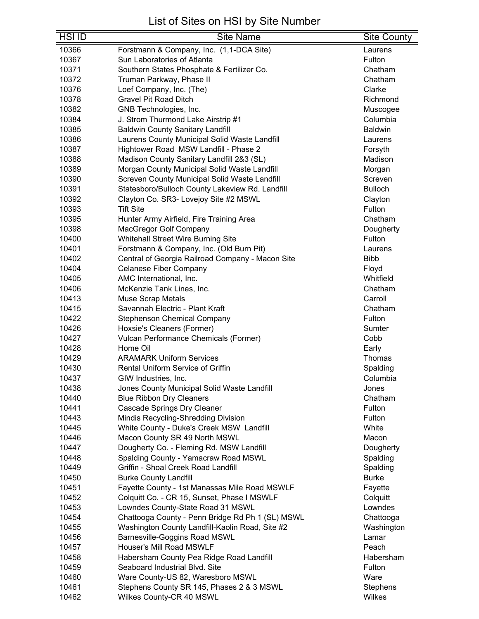| <b>HSI ID</b>  | Site Name                                                                   | Site County              |
|----------------|-----------------------------------------------------------------------------|--------------------------|
| 10366          | Forstmann & Company, Inc. (1,1-DCA Site)                                    | Laurens                  |
| 10367          | Sun Laboratories of Atlanta                                                 | Fulton                   |
| 10371          | Southern States Phosphate & Fertilizer Co.                                  | Chatham                  |
| 10372          | Truman Parkway, Phase II                                                    | Chatham                  |
| 10376          | Loef Company, Inc. (The)                                                    | Clarke                   |
| 10378          | <b>Gravel Pit Road Ditch</b>                                                | Richmond                 |
| 10382          | GNB Technologies, Inc.                                                      | Muscogee                 |
| 10384          | J. Strom Thurmond Lake Airstrip #1                                          | Columbia                 |
| 10385          | <b>Baldwin County Sanitary Landfill</b>                                     | <b>Baldwin</b>           |
| 10386          | Laurens County Municipal Solid Waste Landfill                               | Laurens                  |
| 10387          | Hightower Road MSW Landfill - Phase 2                                       | Forsyth                  |
| 10388          | Madison County Sanitary Landfill 2&3 (SL)                                   | Madison                  |
| 10389          | Morgan County Municipal Solid Waste Landfill                                | Morgan                   |
| 10390          | Screven County Municipal Solid Waste Landfill                               | Screven                  |
| 10391          | Statesboro/Bulloch County Lakeview Rd. Landfill                             | <b>Bulloch</b>           |
| 10392          | Clayton Co. SR3- Lovejoy Site #2 MSWL                                       | Clayton                  |
| 10393          | <b>Tift Site</b>                                                            | Fulton                   |
| 10395          | Hunter Army Airfield, Fire Training Area                                    | Chatham                  |
| 10398          | MacGregor Golf Company                                                      | Dougherty                |
| 10400          | <b>Whitehall Street Wire Burning Site</b>                                   | Fulton                   |
| 10401          | Forstmann & Company, Inc. (Old Burn Pit)                                    | Laurens                  |
| 10402          | Central of Georgia Railroad Company - Macon Site                            | <b>Bibb</b>              |
| 10404          | <b>Celanese Fiber Company</b>                                               | Floyd                    |
| 10405          | AMC International, Inc.                                                     | Whitfield                |
| 10406          | McKenzie Tank Lines, Inc.                                                   | Chatham                  |
| 10413          | <b>Muse Scrap Metals</b>                                                    | Carroll                  |
| 10415          | Savannah Electric - Plant Kraft                                             | Chatham                  |
| 10422          | <b>Stephenson Chemical Company</b>                                          | Fulton                   |
| 10426          | Hoxsie's Cleaners (Former)                                                  | Sumter                   |
| 10427          | Vulcan Performance Chemicals (Former)                                       | Cobb                     |
| 10428          | Home Oil                                                                    | Early                    |
| 10429          | <b>ARAMARK Uniform Services</b>                                             | Thomas                   |
| 10430          | Rental Uniform Service of Griffin                                           | Spalding                 |
| 10437          | GIW Industries, Inc.                                                        | Columbia                 |
| 10438          | Jones County Municipal Solid Waste Landfill                                 | Jones                    |
| 10440          | <b>Blue Ribbon Dry Cleaners</b>                                             | Chatham                  |
| 10441          | <b>Cascade Springs Dry Cleaner</b>                                          | Fulton                   |
| 10443          | Mindis Recycling-Shredding Division                                         | Fulton                   |
| 10445          | White County - Duke's Creek MSW Landfill                                    | White                    |
| 10446          | Macon County SR 49 North MSWL                                               | Macon                    |
| 10447          | Dougherty Co. - Fleming Rd. MSW Landfill                                    | Dougherty                |
| 10448<br>10449 | Spalding County - Yamacraw Road MSWL<br>Griffin - Shoal Creek Road Landfill | Spalding                 |
| 10450          | <b>Burke County Landfill</b>                                                | Spalding<br><b>Burke</b> |
| 10451          | Fayette County - 1st Manassas Mile Road MSWLF                               | Fayette                  |
| 10452          | Colquitt Co. - CR 15, Sunset, Phase I MSWLF                                 | Colquitt                 |
| 10453          | Lowndes County-State Road 31 MSWL                                           | Lowndes                  |
| 10454          | Chattooga County - Penn Bridge Rd Ph 1 (SL) MSWL                            | Chattooga                |
| 10455          | Washington County Landfill-Kaolin Road, Site #2                             | Washington               |
| 10456          | Barnesville-Goggins Road MSWL                                               | Lamar                    |
| 10457          | Houser's Mill Road MSWLF                                                    | Peach                    |
| 10458          | Habersham County Pea Ridge Road Landfill                                    | Habersham                |
| 10459          | Seaboard Industrial Blvd. Site                                              | Fulton                   |
| 10460          | Ware County-US 82, Waresboro MSWL                                           | Ware                     |
| 10461          | Stephens County SR 145, Phases 2 & 3 MSWL                                   | <b>Stephens</b>          |
| 10462          | Wilkes County-CR 40 MSWL                                                    | Wilkes                   |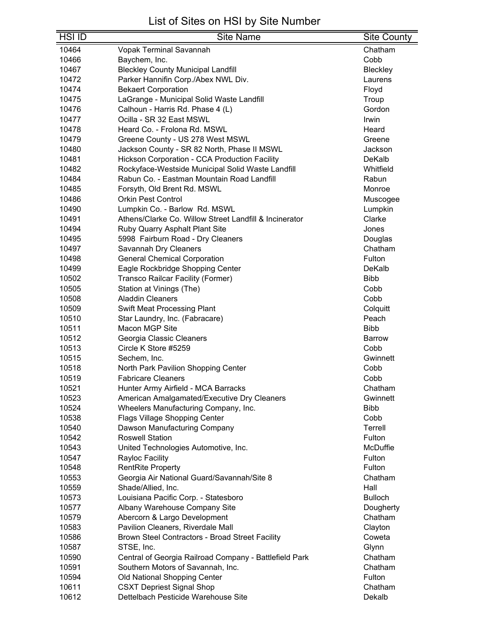| <b>HSI ID</b>  | <b>Site Name</b>                                                        | <b>Site County</b> |
|----------------|-------------------------------------------------------------------------|--------------------|
| 10464          | <b>Vopak Terminal Savannah</b>                                          | Chatham            |
| 10466          | Baychem, Inc.                                                           | Cobb               |
| 10467          | <b>Bleckley County Municipal Landfill</b>                               | Bleckley           |
| 10472          | Parker Hannifin Corp./Abex NWL Div.                                     | Laurens            |
| 10474          | <b>Bekaert Corporation</b>                                              | Floyd              |
| 10475          | LaGrange - Municipal Solid Waste Landfill                               | Troup              |
| 10476          | Calhoun - Harris Rd. Phase 4 (L)                                        | Gordon             |
| 10477          | Ocilla - SR 32 East MSWL                                                | Irwin              |
| 10478          | Heard Co. - Frolona Rd. MSWL                                            | Heard              |
| 10479          | Greene County - US 278 West MSWL                                        | Greene             |
| 10480          | Jackson County - SR 82 North, Phase II MSWL                             | Jackson            |
| 10481          | <b>Hickson Corporation - CCA Production Facility</b>                    | DeKalb             |
| 10482          | Rockyface-Westside Municipal Solid Waste Landfill                       | Whitfield          |
| 10484          | Rabun Co. - Eastman Mountain Road Landfill                              | Rabun              |
| 10485          | Forsyth, Old Brent Rd. MSWL                                             | Monroe             |
| 10486          | <b>Orkin Pest Control</b>                                               | Muscogee           |
| 10490          | Lumpkin Co. - Barlow Rd. MSWL                                           | Lumpkin            |
| 10491          | Athens/Clarke Co. Willow Street Landfill & Incinerator                  | Clarke             |
| 10494          | Ruby Quarry Asphalt Plant Site                                          | Jones              |
| 10495          | 5998 Fairburn Road - Dry Cleaners                                       | Douglas            |
| 10497          | Savannah Dry Cleaners                                                   | Chatham            |
| 10498          | <b>General Chemical Corporation</b>                                     | Fulton             |
| 10499          | Eagle Rockbridge Shopping Center                                        | DeKalb             |
| 10502          | Transco Railcar Facility (Former)                                       | <b>Bibb</b>        |
| 10505          | Station at Vinings (The)                                                | Cobb               |
| 10508          | <b>Aladdin Cleaners</b>                                                 | Cobb               |
| 10509          | Swift Meat Processing Plant                                             | Colquitt           |
| 10510          | Star Laundry, Inc. (Fabracare)                                          | Peach              |
| 10511          | Macon MGP Site                                                          | <b>Bibb</b>        |
| 10512          | Georgia Classic Cleaners                                                | <b>Barrow</b>      |
| 10513          | Circle K Store #5259                                                    | Cobb               |
| 10515          | Sechem, Inc.                                                            | Gwinnett           |
| 10518          | North Park Pavilion Shopping Center                                     | Cobb               |
| 10519          | Fabricare Cleaners                                                      | Cobb               |
| 10521          | Hunter Army Airfield - MCA Barracks                                     | Chatham            |
| 10523          | American Amalgamated/Executive Dry Cleaners                             | Gwinnett           |
| 10524          | Wheelers Manufacturing Company, Inc.                                    | <b>Bibb</b>        |
| 10538          | Flags Village Shopping Center                                           | Cobb               |
| 10540          | Dawson Manufacturing Company                                            | Terrell            |
| 10542          | <b>Roswell Station</b>                                                  | Fulton             |
| 10543          | United Technologies Automotive, Inc.                                    | McDuffie           |
| 10547          | Rayloc Facility                                                         | Fulton<br>Fulton   |
| 10548          | <b>RentRite Property</b>                                                |                    |
| 10553          | Georgia Air National Guard/Savannah/Site 8                              | Chatham            |
| 10559          | Shade/Allied, Inc.                                                      | Hall               |
| 10573          | Louisiana Pacific Corp. - Statesboro                                    | <b>Bulloch</b>     |
| 10577          | Albany Warehouse Company Site                                           | Dougherty          |
| 10579          | Abercorn & Largo Development                                            | Chatham            |
| 10583          | Pavilion Cleaners, Riverdale Mall                                       | Clayton            |
| 10586          | Brown Steel Contractors - Broad Street Facility                         | Coweta             |
| 10587          | STSE, Inc.                                                              | Glynn              |
| 10590          | Central of Georgia Railroad Company - Battlefield Park                  | Chatham            |
| 10591          | Southern Motors of Savannah, Inc.                                       | Chatham            |
| 10594          | Old National Shopping Center                                            | Fulton             |
| 10611<br>10612 | <b>CSXT Depriest Signal Shop</b><br>Dettelbach Pesticide Warehouse Site | Chatham<br>Dekalb  |
|                |                                                                         |                    |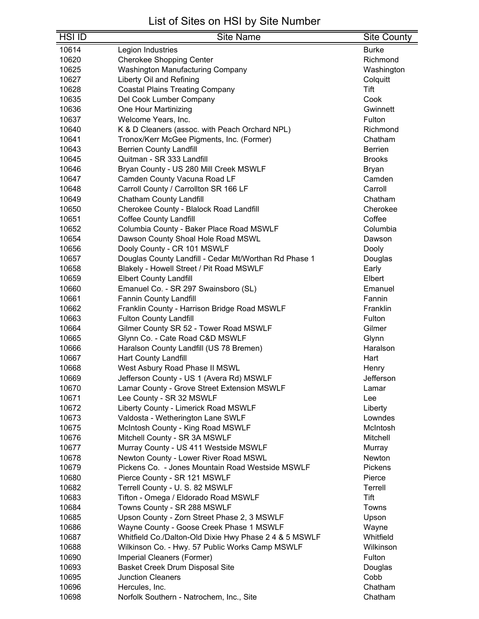| <b>HSI ID</b><br><b>Site Name</b>                                                            | <b>Site County</b> |
|----------------------------------------------------------------------------------------------|--------------------|
| 10614<br>Legion Industries                                                                   | <b>Burke</b>       |
| 10620<br><b>Cherokee Shopping Center</b>                                                     | Richmond           |
| Washington Manufacturing Company<br>10625                                                    | Washington         |
| Liberty Oil and Refining<br>10627                                                            | Colquitt           |
| 10628<br><b>Coastal Plains Treating Company</b>                                              | Tift               |
| 10635<br>Del Cook Lumber Company                                                             | Cook               |
| 10636<br>One Hour Martinizing                                                                | Gwinnett           |
| 10637<br>Welcome Years, Inc.                                                                 | Fulton             |
| 10640<br>K & D Cleaners (assoc. with Peach Orchard NPL)                                      | Richmond           |
| 10641<br>Tronox/Kerr McGee Pigments, Inc. (Former)                                           | Chatham            |
| <b>Berrien County Landfill</b><br>10643                                                      | <b>Berrien</b>     |
| Quitman - SR 333 Landfill<br>10645                                                           | <b>Brooks</b>      |
| 10646<br>Bryan County - US 280 Mill Creek MSWLF                                              | Bryan              |
| Camden County Vacuna Road LF<br>10647                                                        | Camden             |
| 10648<br>Carroll County / Carrollton SR 166 LF                                               | Carroll            |
| <b>Chatham County Landfill</b><br>10649                                                      | Chatham            |
| 10650<br>Cherokee County - Blalock Road Landfill                                             | Cherokee           |
| <b>Coffee County Landfill</b><br>10651                                                       | Coffee             |
| Columbia County - Baker Place Road MSWLF<br>10652                                            | Columbia           |
| Dawson County Shoal Hole Road MSWL<br>10654                                                  | Dawson             |
| Dooly County - CR 101 MSWLF<br>10656                                                         | Dooly              |
| Douglas County Landfill - Cedar Mt/Worthan Rd Phase 1<br>10657                               | Douglas            |
| Blakely - Howell Street / Pit Road MSWLF<br>10658                                            | Early              |
| 10659<br><b>Elbert County Landfill</b>                                                       | Elbert             |
| 10660<br>Emanuel Co. - SR 297 Swainsboro (SL)                                                | Emanuel            |
| 10661<br><b>Fannin County Landfill</b>                                                       | Fannin             |
| 10662<br>Franklin County - Harrison Bridge Road MSWLF                                        | Franklin           |
| 10663<br><b>Fulton County Landfill</b>                                                       | Fulton             |
| 10664<br>Gilmer County SR 52 - Tower Road MSWLF                                              | Gilmer             |
| Glynn Co. - Cate Road C&D MSWLF<br>10665                                                     | Glynn              |
| 10666<br>Haralson County Landfill (US 78 Bremen)                                             | Haralson           |
| 10667<br><b>Hart County Landfill</b>                                                         | Hart               |
| 10668<br>West Asbury Road Phase II MSWL                                                      | Henry              |
| Jefferson County - US 1 (Avera Rd) MSWLF<br>10669                                            | Jefferson          |
| 10670<br>Lamar County - Grove Street Extension MSWLF                                         | Lamar              |
| Lee County - SR 32 MSWLF<br>10671                                                            | Lee                |
| Liberty County - Limerick Road MSWLF<br>10672                                                | Liberty            |
| 10673<br>Valdosta - Wetherington Lane SWLF                                                   | Lowndes            |
| 10675<br>McIntosh County - King Road MSWLF                                                   | McIntosh           |
| 10676<br>Mitchell County - SR 3A MSWLF                                                       | Mitchell           |
| 10677<br>Murray County - US 411 Westside MSWLF                                               | Murray             |
| 10678<br>Newton County - Lower River Road MSWL                                               | Newton             |
| 10679<br>Pickens Co. - Jones Mountain Road Westside MSWLF                                    | Pickens            |
| Pierce County - SR 121 MSWLF<br>10680                                                        | Pierce             |
| Terrell County - U. S. 82 MSWLF<br>10682                                                     | Terrell<br>Tift    |
| 10683<br>Tifton - Omega / Eldorado Road MSWLF                                                | Towns              |
| Towns County - SR 288 MSWLF<br>10684<br>Upson County - Zorn Street Phase 2, 3 MSWLF<br>10685 | Upson              |
| 10686<br>Wayne County - Goose Creek Phase 1 MSWLF                                            | Wayne              |
| 10687<br>Whitfield Co./Dalton-Old Dixie Hwy Phase 2 4 & 5 MSWLF                              | Whitfield          |
| Wilkinson Co. - Hwy. 57 Public Works Camp MSWLF<br>10688                                     | Wilkinson          |
| 10690                                                                                        | Fulton             |
| Imperial Cleaners (Former)                                                                   |                    |
| 10693<br>Basket Creek Drum Disposal Site<br><b>Junction Cleaners</b><br>10695                | Douglas<br>Cobb    |
| 10696<br>Hercules, Inc.                                                                      |                    |
|                                                                                              | Chatham            |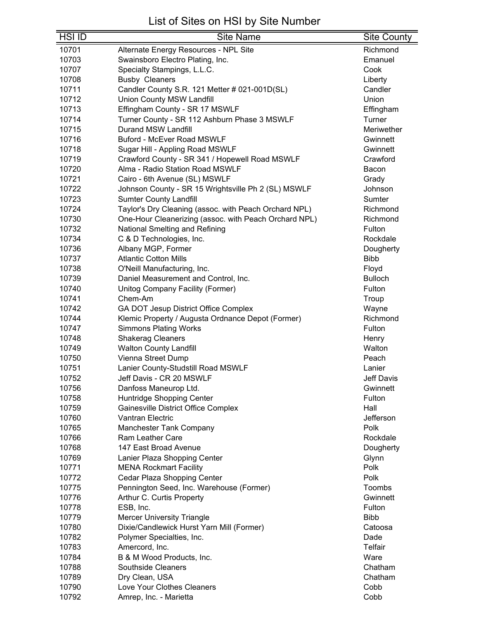| HSI ID | <b>Site Name</b>                                      | <b>Site County</b> |
|--------|-------------------------------------------------------|--------------------|
| 10701  | Alternate Energy Resources - NPL Site                 | Richmond           |
| 10703  | Swainsboro Electro Plating, Inc.                      | Emanuel            |
| 10707  | Specialty Stampings, L.L.C.                           | Cook               |
| 10708  | <b>Busby Cleaners</b>                                 | Liberty            |
| 10711  | Candler County S.R. 121 Metter # 021-001D(SL)         | Candler            |
| 10712  | <b>Union County MSW Landfill</b>                      | Union              |
| 10713  | Effingham County - SR 17 MSWLF                        | Effingham          |
| 10714  | Turner County - SR 112 Ashburn Phase 3 MSWLF          | Turner             |
| 10715  | <b>Durand MSW Landfill</b>                            | Meriwether         |
| 10716  | <b>Buford - McEver Road MSWLF</b>                     | Gwinnett           |
| 10718  | Sugar Hill - Appling Road MSWLF                       | Gwinnett           |
| 10719  | Crawford County - SR 341 / Hopewell Road MSWLF        | Crawford           |
| 10720  | Alma - Radio Station Road MSWLF                       | Bacon              |
| 10721  | Cairo - 6th Avenue (SL) MSWLF                         | Grady              |
| 10722  | Johnson County - SR 15 Wrightsville Ph 2 (SL) MSWLF   | Johnson            |
| 10723  | <b>Sumter County Landfill</b>                         | Sumter             |
| 10724  | Taylor's Dry Cleaning (assoc. with Peach Orchard NPL) | Richmond           |
| 10730  | One-Hour Cleanerizing (assoc. with Peach Orchard NPL) | Richmond           |
| 10732  | National Smelting and Refining                        | Fulton             |
| 10734  | C & D Technologies, Inc.                              | Rockdale           |
| 10736  | Albany MGP, Former                                    | Dougherty          |
| 10737  | <b>Atlantic Cotton Mills</b>                          | <b>Bibb</b>        |
| 10738  | O'Neill Manufacturing, Inc.                           | Floyd              |
| 10739  | Daniel Measurement and Control, Inc.                  | <b>Bulloch</b>     |
| 10740  | Unitog Company Facility (Former)                      | Fulton             |
| 10741  | Chem-Am                                               | Troup              |
| 10742  | GA DOT Jesup District Office Complex                  | Wayne              |
| 10744  | Klemic Property / Augusta Ordnance Depot (Former)     | Richmond           |
| 10747  | <b>Simmons Plating Works</b>                          | Fulton             |
| 10748  | <b>Shakerag Cleaners</b>                              | Henry              |
| 10749  | <b>Walton County Landfill</b>                         | Walton             |
| 10750  | Vienna Street Dump                                    | Peach              |
| 10751  | Lanier County-Studstill Road MSWLF                    | Lanier             |
| 10752  | Jeff Davis - CR 20 MSWLF                              | Jeff Davis         |
| 10756  | Danfoss Maneurop Ltd.                                 | Gwinnett           |
| 10758  | Huntridge Shopping Center                             | Fulton             |
| 10759  | Gainesville District Office Complex                   | Hall               |
| 10760  | <b>Vantran Electric</b>                               | Jefferson          |
| 10765  | Manchester Tank Company                               | Polk               |
| 10766  | <b>Ram Leather Care</b>                               | Rockdale           |
| 10768  | 147 East Broad Avenue                                 | Dougherty          |
| 10769  | Lanier Plaza Shopping Center                          | Glynn              |
| 10771  | <b>MENA Rockmart Facility</b>                         | Polk               |
| 10772  | Cedar Plaza Shopping Center                           | Polk               |
| 10775  | Pennington Seed, Inc. Warehouse (Former)              | Toombs             |
| 10776  | Arthur C. Curtis Property                             | Gwinnett           |
| 10778  | ESB, Inc.                                             | Fulton             |
| 10779  | <b>Mercer University Triangle</b>                     | <b>Bibb</b>        |
| 10780  | Dixie/Candlewick Hurst Yarn Mill (Former)             | Catoosa            |
| 10782  | Polymer Specialties, Inc.                             | Dade               |
| 10783  | Amercord, Inc.                                        | Telfair            |
| 10784  | B & M Wood Products, Inc.                             | Ware               |
| 10788  | <b>Southside Cleaners</b>                             | Chatham            |
| 10789  | Dry Clean, USA                                        | Chatham            |
| 10790  | Love Your Clothes Cleaners                            | Cobb               |
| 10792  | Amrep, Inc. - Marietta                                | Cobb               |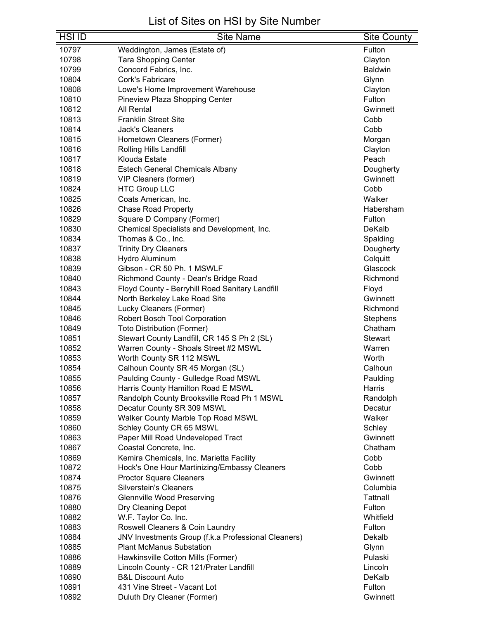| <b>HSI ID</b> | <b>Site Name</b>                                    | <b>Site County</b> |
|---------------|-----------------------------------------------------|--------------------|
| 10797         | Weddington, James (Estate of)                       | Fulton             |
| 10798         | <b>Tara Shopping Center</b>                         | Clayton            |
| 10799         | Concord Fabrics, Inc.                               | <b>Baldwin</b>     |
| 10804         | Cork's Fabricare                                    | Glynn              |
| 10808         | Lowe's Home Improvement Warehouse                   | Clayton            |
| 10810         | Pineview Plaza Shopping Center                      | Fulton             |
| 10812         | <b>All Rental</b>                                   | Gwinnett           |
| 10813         | <b>Franklin Street Site</b>                         | Cobb               |
| 10814         | <b>Jack's Cleaners</b>                              | Cobb               |
| 10815         | Hometown Cleaners (Former)                          | Morgan             |
| 10816         | Rolling Hills Landfill                              | Clayton            |
| 10817         | Klouda Estate                                       | Peach              |
| 10818         | <b>Estech General Chemicals Albany</b>              | Dougherty          |
| 10819         | VIP Cleaners (former)                               | Gwinnett           |
| 10824         | <b>HTC Group LLC</b>                                | Cobb               |
| 10825         | Coats American, Inc.                                | Walker             |
| 10826         | <b>Chase Road Property</b>                          | Habersham          |
| 10829         | Square D Company (Former)                           | Fulton             |
| 10830         | Chemical Specialists and Development, Inc.          | DeKalb             |
| 10834         | Thomas & Co., Inc.                                  | Spalding           |
| 10837         | <b>Trinity Dry Cleaners</b>                         | Dougherty          |
| 10838         | Hydro Aluminum                                      | Colquitt           |
| 10839         | Gibson - CR 50 Ph. 1 MSWLF                          | Glascock           |
| 10840         | Richmond County - Dean's Bridge Road                | Richmond           |
| 10843         | Floyd County - Berryhill Road Sanitary Landfill     | Floyd              |
| 10844         | North Berkeley Lake Road Site                       | Gwinnett           |
| 10845         | Lucky Cleaners (Former)                             | Richmond           |
| 10846         | Robert Bosch Tool Corporation                       | Stephens           |
| 10849         | <b>Toto Distribution (Former)</b>                   | Chatham            |
| 10851         | Stewart County Landfill, CR 145 S Ph 2 (SL)         | <b>Stewart</b>     |
| 10852         | Warren County - Shoals Street #2 MSWL               | Warren             |
| 10853         | Worth County SR 112 MSWL                            | Worth              |
| 10854         | Calhoun County SR 45 Morgan (SL)                    | Calhoun            |
| 10855         | Paulding County - Gulledge Road MSWL                | Paulding           |
| 10856         | Harris County Hamilton Road E MSWL                  | Harris             |
| 10857         | Randolph County Brooksville Road Ph 1 MSWL          | Randolph           |
| 10858         | Decatur County SR 309 MSWL                          | Decatur            |
| 10859         | Walker County Marble Top Road MSWL                  | Walker             |
| 10860         | Schley County CR 65 MSWL                            | Schley             |
| 10863         | Paper Mill Road Undeveloped Tract                   | Gwinnett           |
| 10867         | Coastal Concrete, Inc.                              | Chatham            |
| 10869         | Kemira Chemicals, Inc. Marietta Facility            | Cobb               |
| 10872         | Hock's One Hour Martinizing/Embassy Cleaners        | Cobb               |
| 10874         | <b>Proctor Square Cleaners</b>                      | Gwinnett           |
| 10875         | <b>Silverstein's Cleaners</b>                       | Columbia           |
| 10876         | <b>Glennville Wood Preserving</b>                   | Tattnall           |
| 10880         | Dry Cleaning Depot                                  | Fulton             |
| 10882         | W.F. Taylor Co. Inc.                                | Whitfield          |
| 10883         | Roswell Cleaners & Coin Laundry                     | Fulton             |
| 10884         | JNV Investments Group (f.k.a Professional Cleaners) | Dekalb             |
| 10885         | <b>Plant McManus Substation</b>                     | Glynn              |
| 10886         | Hawkinsville Cotton Mills (Former)                  | Pulaski            |
| 10889         | Lincoln County - CR 121/Prater Landfill             | Lincoln            |
| 10890         | <b>B&amp;L Discount Auto</b>                        | DeKalb             |
| 10891         | 431 Vine Street - Vacant Lot                        | Fulton             |
| 10892         | Duluth Dry Cleaner (Former)                         | Gwinnett           |